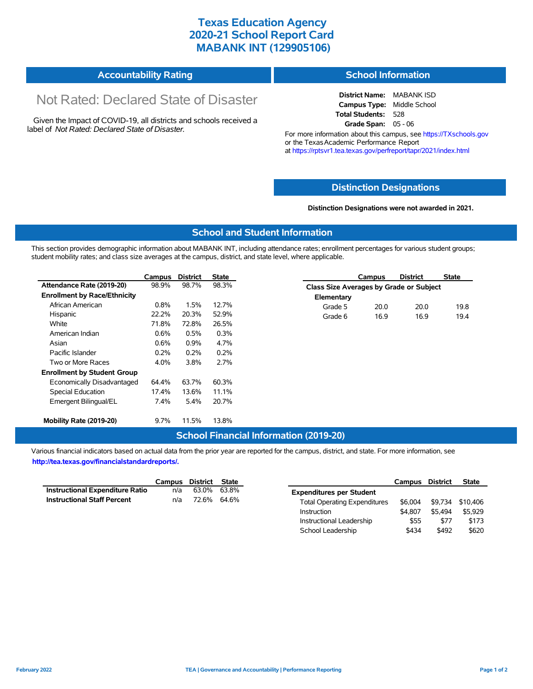## **Texas Education Agency 2020-21 School Report Card MABANK INT (129905106)**

| <b>Accountability Rating</b><br><b>School Information</b> |  |
|-----------------------------------------------------------|--|
|-----------------------------------------------------------|--|

# Not Rated: Declared State of Disaster

Given the Impact of COVID-19, all districts and schools received a label of *Not Rated: Declared State of Disaster.*

**District Name:** MABANK ISD **Campus Type:** Middle School **Total Students:** 528 **Grade Span:** 05 - 06

For more information about this campus, see https://TXschools.gov or the Texas Academic Performance Report at https://rptsvr1.tea.texas.gov/perfreport/tapr/2021/index.html

#### **Distinction Designations**

#### **Distinction Designations were not awarded in 2021.**

School Leadership  $$434$  \$492 \$620

#### **School and Student Information**

This section provides demographic information about MABANK INT, including attendance rates; enrollment percentages for various student groups; student mobility rates; and class size averages at the campus, district, and state level, where applicable.

|                                     | Campus | <b>District</b> | <b>State</b> | <b>District</b><br><b>State</b><br>Campus |
|-------------------------------------|--------|-----------------|--------------|-------------------------------------------|
| Attendance Rate (2019-20)           | 98.9%  | 98.7%           | 98.3%        | Class Size Averages by Grade or Subject   |
| <b>Enrollment by Race/Ethnicity</b> |        |                 |              | Elementary                                |
| African American                    | 0.8%   | 1.5%            | 12.7%        | 20.0<br>19.8<br>20.0<br>Grade 5           |
| Hispanic                            | 22.2%  | 20.3%           | 52.9%        | 16.9<br>16.9<br>19.4<br>Grade 6           |
| White                               | 71.8%  | 72.8%           | 26.5%        |                                           |
| American Indian                     | 0.6%   | 0.5%            | 0.3%         |                                           |
| Asian                               | 0.6%   | 0.9%            | 4.7%         |                                           |
| Pacific Islander                    | 0.2%   | 0.2%            | 0.2%         |                                           |
| Two or More Races                   | 4.0%   | 3.8%            | 2.7%         |                                           |
| <b>Enrollment by Student Group</b>  |        |                 |              |                                           |
| Economically Disadvantaged          | 64.4%  | 63.7%           | 60.3%        |                                           |
| Special Education                   | 17.4%  | 13.6%           | 11.1%        |                                           |
| Emergent Bilingual/EL               | 7.4%   | 5.4%            | 20.7%        |                                           |
| Mobility Rate (2019-20)             | 9.7%   | 11.5%           | 13.8%        |                                           |

#### **School Financial Information (2019-20)**

Various financial indicators based on actual data from the prior year are reported for the campus, district, and state. For more information, see

**http://tea.texas.gov/financialstandardreports/.**

|                                    | Campus | District | <b>State</b> |                                     | Campus  | <b>District</b> | <b>State</b>     |
|------------------------------------|--------|----------|--------------|-------------------------------------|---------|-----------------|------------------|
| Instructional Expenditure Ratio    | n/a    |          | 63.0% 63.8%  | <b>Expenditures per Student</b>     |         |                 |                  |
| <b>Instructional Staff Percent</b> | n/a    | 72.6%    | 64.6%        | <b>Total Operating Expenditures</b> | \$6.004 |                 | \$9,734 \$10,406 |
|                                    |        |          |              | Instruction                         | \$4,807 | \$5.494         | \$5,929          |
|                                    |        |          |              | Instructional Leadership            | \$55    | \$77            | \$173            |